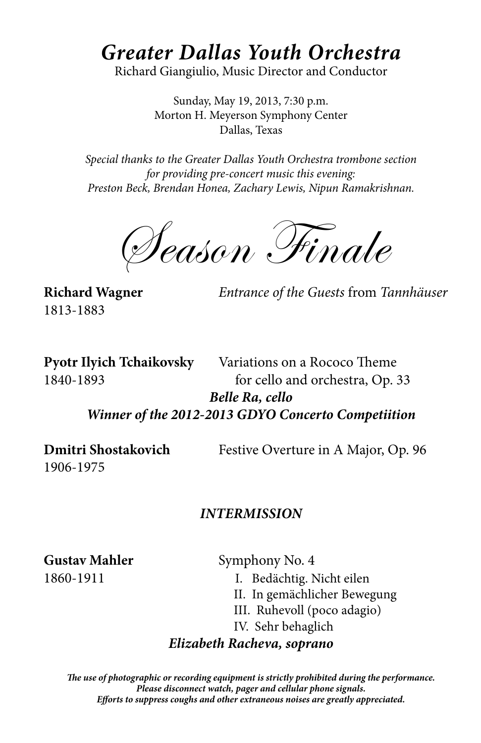# *Greater Dallas Youth Orchestra*

Richard Giangiulio, Music Director and Conductor

Sunday, May 19, 2013, 7:30 p.m. Morton H. Meyerson Symphony Center Dallas, Texas

*Special thanks to the Greater Dallas Youth Orchestra trombone section for providing pre-concert music this evening: Preston Beck, Brendan Honea, Zachary Lewis, Nipun Ramakrishnan.*

Season Finale

1813-1883

**Richard Wagner** *Entrance of the Guests* from *Tannhäuser*

**Pyotr Ilyich Tchaikovsky** Variations on a Rococo Theme 1840-1893 for cello and orchestra, Op. 33 *Belle Ra, cello Winner of the 2012-2013 GDYO Concerto Competiition*

1906-1975

**Dmitri Shostakovich** Festive Overture in A Major, Op. 96

### *Intermission*

Gustav Mahler **Symphony No. 4** 1860-1911 I. Bedächtig. Nicht eilen II. In gemächlicher Bewegung III. Ruhevoll (poco adagio) IV. Sehr behaglich

### *Elizabeth Racheva, soprano*

*The use of photographic or recording equipment is strictly prohibited during the performance. Please disconnect watch, pager and cellular phone signals. Efforts to suppress coughs and other extraneous noises are greatly appreciated.*